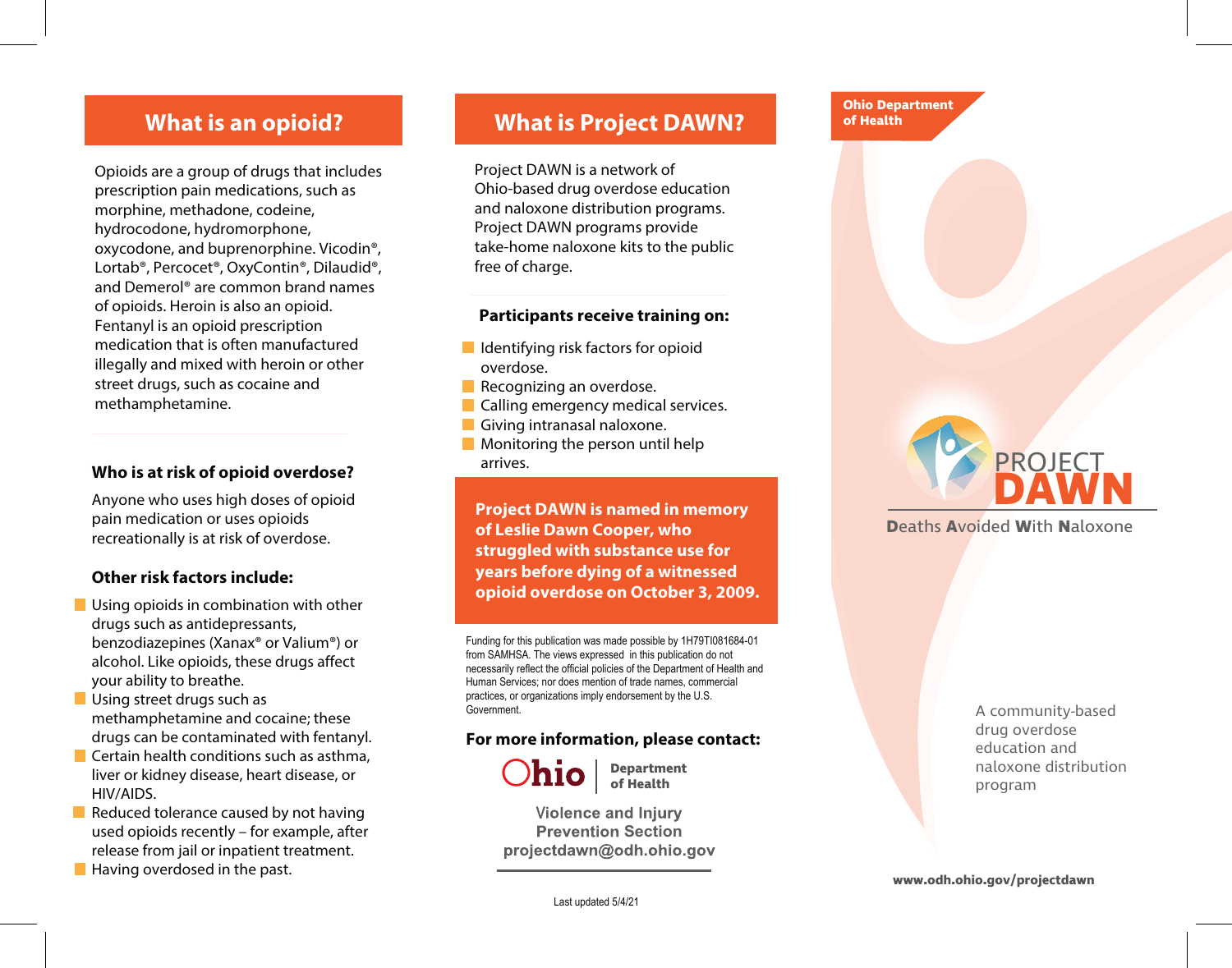### **What is an opioid?**

Opioids are a group of drugs that includes prescription pain medications, such as morphine, methadone, codeine, hydrocodone, hydromorphone, oxycodone, and buprenorphine. Vicodin®, Lortab®, Percocet®, OxyContin®, Dilaudid®, and Demerol® are common brand names of opioids. Heroin is also an opioid. Fentanyl is an opioid prescription medication that is often manufactured illegally and mixed with heroin or other street drugs, such as cocaine and methamphetamine.

#### **Who is at risk of opioid overdose?**

Anyone who uses high doses of opioid pain medication or uses opioids recreationally is at risk of overdose.

#### **Other risk factors include:**

- **Using opioids in combination with other** drugs such as antidepressants, benzodiazepines (Xanax® or Valium®) or alcohol. Like opioids, these drugs affect your ability to breathe.
- **Using street drugs such as** methamphetamine and cocaine; these drugs can be contaminated with fentanyl.
- $\blacksquare$  Certain health conditions such as asthma, liver or kidney disease, heart disease, or HIV/AIDS.
- Reduced tolerance caused by not having used opioids recently – for example, after release from jail or inpatient treatment.
- $\blacksquare$  Having overdosed in the past.

### **What is Project DAWN?**

Project DAWN is a network of Ohio-based drug overdose education and naloxone distribution programs. Project DAWN programs provide take-home naloxone kits to the public free of charge.

#### **Participants receive training on:**

- $\blacksquare$  Identifying risk factors for opioid overdose.
- Recognizing an overdose.
- **Calling emergency medical services.**
- Giving intranasal naloxone.
- **Monitoring the person until help** arrives.

**Project DAWN is named in memory of Leslie Dawn Cooper, who struggled with substance use for years before dying of a witnessed opioid overdose on October 3, 2009.**

Funding for this publication was made possible by 1H79TI081684-01 from SAMHSA. The views expressed in this publication do not necessarily reflect the official policies of the Department of Health and Human Services; nor does mention of trade names, commercial practices, or organizations imply endorsement by the U.S. Government.

#### **For more information, please contact:**



**Department of Health**

**Violence and Injury Prevention Section** projectdawn@odh.ohio.gov



**D**eaths **A**voided **W**ith **N**aloxone

**Ohio Department of Health**

> A community-based drug overdose education and naloxone distribution program